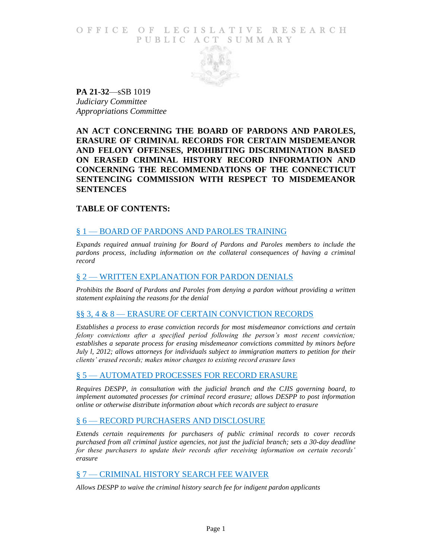## O F FICE OF LEGISLATIVE RESEARCH PUBLIC ACT SUMMARY



**PA 21-32**—sSB 1019 *Judiciary Committee Appropriations Committee*

**AN ACT CONCERNING THE BOARD OF PARDONS AND PAROLES, ERASURE OF CRIMINAL RECORDS FOR CERTAIN MISDEMEANOR AND FELONY OFFENSES, PROHIBITING DISCRIMINATION BASED ON ERASED CRIMINAL HISTORY RECORD INFORMATION AND CONCERNING THE RECOMMENDATIONS OF THE CONNECTICUT SENTENCING COMMISSION WITH RESPECT TO MISDEMEANOR SENTENCES**

## **TABLE OF CONTENTS:**

## § 1 — [BOARD OF PARDONS AND](#page-1-0) PAROLES TRAINING

*[Expands required annual training for Board of Pardons and Paroles members to include the](#page-1-1)  pardons process, including information on the collateral consequences of having a criminal [record](#page-1-1)*

#### § 2 — [WRITTEN EXPLANATION FOR PARDON DENIALS](#page-1-2)

*[Prohibits the Board of Pardons and Paroles from denying a pardon](#page-1-3) without providing a written [statement explaining the reasons for the denial](#page-1-3)*

### §§ 3, 4 & 8 — [ERASURE OF CERTAIN CONVICTION RECORDS](#page-2-0)

*[Establishes a process to erase conviction records for most misdemeanor convictions and certain](#page-2-1)  felony convictions after a specified period following the person's most recent conviction; [establishes a separate process for erasing misdemeanor convictions committed by minors before](#page-2-1)  [July l, 2012; allows attorneys for individuals subject to immigration matters to petition for their](#page-2-1)  [clients' erased records; makes minor changes to existing record erasure laws](#page-2-1)*

### § 5 — [AUTOMATED PROCESSES FOR RECORD ERASURE](#page-5-0)

*[Requires DESPP, in consultation with the judicial branch and the CJIS governing board, to](#page-5-1)  [implement automated processes for criminal record erasure; allows DESPP to post information](#page-5-1)  [online or otherwise distribute information about which records are subject to erasure](#page-5-1)*

### § 6 — [RECORD PURCHASERS AND DISCLOSURE](#page-5-2)

*[Extends certain requirements for purchasers of public criminal records to cover records](#page-5-3)  [purchased from all criminal justice agencies, not just the judicial branch; sets a 30-day deadline](#page-5-3)  [for these purchasers to update their records after receiving information on certain records'](#page-5-3)  [erasure](#page-5-3)*

### § 7 — [CRIMINAL HISTORY SEARCH FEE WAIVER](#page-6-0)

*[Allows DESPP to waive the criminal history search fee for indigent pardon applicants](#page-6-1)*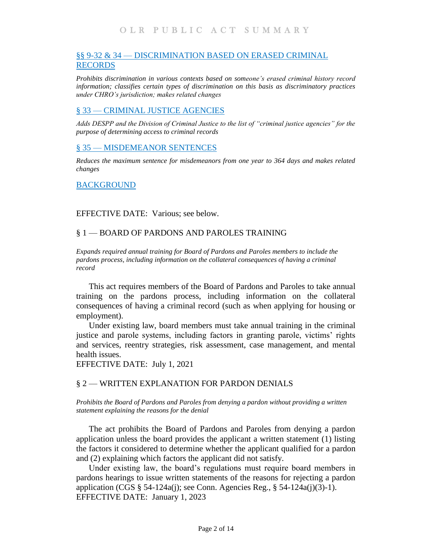# §§ 9-32 & 34 — [DISCRIMINATION BASED](#page-6-2) ON ERASED CRIMINAL [RECORDS](#page-6-2)

*[Prohibits discrimination in various contexts based on someone's erased criminal history record](#page-6-3)  [information; classifies certain types of discrimination on this basis as discriminatory practices](#page-6-3)  [under CHRO's jurisdiction; makes related changes](#page-6-3)*

# § 33 — [CRIMINAL JUSTICE AGENCIES](#page-11-0)

*[Adds DESPP and the Division of Criminal Justice to the list of "criminal justice agencies" for the](#page-11-1)  [purpose of determining access to criminal records](#page-11-1)*

# § 35 — [MISDEMEANOR SENTENCES](#page-11-2)

*[Reduces the maximum sentence for misdemeanors from one year to 364 days and makes related](#page-11-3)  [changes](#page-11-3)*

#### [BACKGROUND](#page-12-0)

EFFECTIVE DATE: Various; see below.

## <span id="page-1-1"></span><span id="page-1-0"></span>§ 1 — BOARD OF PARDONS AND PAROLES TRAINING

*Expands required annual training for Board of Pardons and Paroles members to include the pardons process, including information on the collateral consequences of having a criminal record* 

This act requires members of the Board of Pardons and Paroles to take annual training on the pardons process, including information on the collateral consequences of having a criminal record (such as when applying for housing or employment).

Under existing law, board members must take annual training in the criminal justice and parole systems, including factors in granting parole, victims' rights and services, reentry strategies, risk assessment, case management, and mental health issues.

EFFECTIVE DATE: July 1, 2021

### <span id="page-1-3"></span><span id="page-1-2"></span>§ 2 — WRITTEN EXPLANATION FOR PARDON DENIALS

*Prohibits the Board of Pardons and Paroles from denying a pardon without providing a written statement explaining the reasons for the denial*

The act prohibits the Board of Pardons and Paroles from denying a pardon application unless the board provides the applicant a written statement (1) listing the factors it considered to determine whether the applicant qualified for a pardon and (2) explaining which factors the applicant did not satisfy.

Under existing law, the board's regulations must require board members in pardons hearings to issue written statements of the reasons for rejecting a pardon application (CGS § 54-124a(j); see Conn. Agencies Reg., § 54-124a(j)(3)-1). EFFECTIVE DATE: January 1, 2023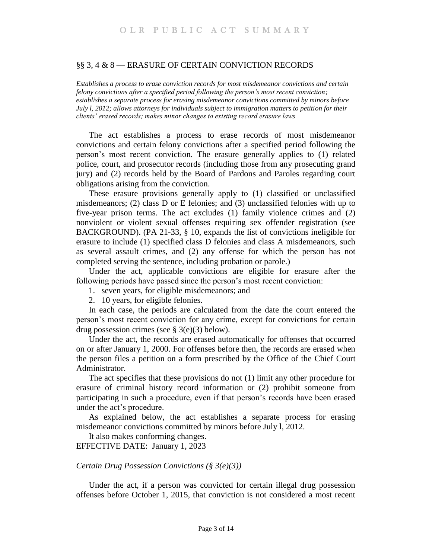### <span id="page-2-1"></span><span id="page-2-0"></span>§§ 3, 4 & 8 — ERASURE OF CERTAIN CONVICTION RECORDS

*Establishes a process to erase conviction records for most misdemeanor convictions and certain felony convictions after a specified period following the person's most recent conviction; establishes a separate process for erasing misdemeanor convictions committed by minors before July l, 2012; allows attorneys for individuals subject to immigration matters to petition for their clients' erased records; makes minor changes to existing record erasure laws*

The act establishes a process to erase records of most misdemeanor convictions and certain felony convictions after a specified period following the person's most recent conviction. The erasure generally applies to (1) related police, court, and prosecutor records (including those from any prosecuting grand jury) and (2) records held by the Board of Pardons and Paroles regarding court obligations arising from the conviction.

These erasure provisions generally apply to (1) classified or unclassified misdemeanors; (2) class D or E felonies; and (3) unclassified felonies with up to five-year prison terms. The act excludes (1) family violence crimes and (2) nonviolent or violent sexual offenses requiring sex offender registration (see BACKGROUND). (PA 21-33, § 10, expands the list of convictions ineligible for erasure to include (1) specified class D felonies and class A misdemeanors, such as several assault crimes, and (2) any offense for which the person has not completed serving the sentence, including probation or parole.)

Under the act, applicable convictions are eligible for erasure after the following periods have passed since the person's most recent conviction:

- 1. seven years, for eligible misdemeanors; and
- 2. 10 years, for eligible felonies.

In each case, the periods are calculated from the date the court entered the person's most recent conviction for any crime, except for convictions for certain drug possession crimes (see  $\S$  3(e)(3) below).

Under the act, the records are erased automatically for offenses that occurred on or after January 1, 2000. For offenses before then, the records are erased when the person files a petition on a form prescribed by the Office of the Chief Court Administrator.

The act specifies that these provisions do not (1) limit any other procedure for erasure of criminal history record information or (2) prohibit someone from participating in such a procedure, even if that person's records have been erased under the act's procedure.

As explained below, the act establishes a separate process for erasing misdemeanor convictions committed by minors before July l, 2012.

It also makes conforming changes.

EFFECTIVE DATE: January 1, 2023

#### *Certain Drug Possession Convictions (§ 3(e)(3))*

Under the act, if a person was convicted for certain illegal drug possession offenses before October 1, 2015, that conviction is not considered a most recent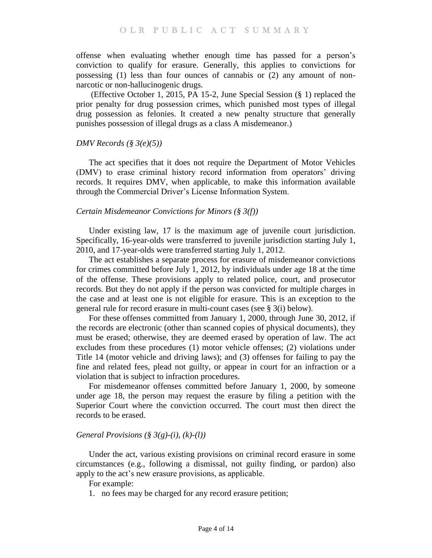offense when evaluating whether enough time has passed for a person's conviction to qualify for erasure. Generally, this applies to convictions for possessing (1) less than four ounces of cannabis or (2) any amount of nonnarcotic or non-hallucinogenic drugs.

(Effective October 1, 2015, PA 15-2, June Special Session (§ 1) replaced the prior penalty for drug possession crimes, which punished most types of illegal drug possession as felonies. It created a new penalty structure that generally punishes possession of illegal drugs as a class A misdemeanor.)

### *DMV Records (§ 3(e)(5))*

The act specifies that it does not require the Department of Motor Vehicles (DMV) to erase criminal history record information from operators' driving records. It requires DMV, when applicable, to make this information available through the Commercial Driver's License Information System.

#### *Certain Misdemeanor Convictions for Minors (§ 3(f))*

Under existing law, 17 is the maximum age of juvenile court jurisdiction. Specifically, 16-year-olds were transferred to juvenile jurisdiction starting July 1, 2010, and 17-year-olds were transferred starting July 1, 2012.

The act establishes a separate process for erasure of misdemeanor convictions for crimes committed before July 1, 2012, by individuals under age 18 at the time of the offense. These provisions apply to related police, court, and prosecutor records. But they do not apply if the person was convicted for multiple charges in the case and at least one is not eligible for erasure. This is an exception to the general rule for record erasure in multi-count cases (see § 3(i) below).

For these offenses committed from January 1, 2000, through June 30, 2012, if the records are electronic (other than scanned copies of physical documents), they must be erased; otherwise, they are deemed erased by operation of law. The act excludes from these procedures (1) motor vehicle offenses; (2) violations under Title 14 (motor vehicle and driving laws); and (3) offenses for failing to pay the fine and related fees, plead not guilty, or appear in court for an infraction or a violation that is subject to infraction procedures.

For misdemeanor offenses committed before January 1, 2000, by someone under age 18, the person may request the erasure by filing a petition with the Superior Court where the conviction occurred. The court must then direct the records to be erased.

#### *General Provisions (§ 3(g)-(i), (k)-(l))*

Under the act, various existing provisions on criminal record erasure in some circumstances (e.g., following a dismissal, not guilty finding, or pardon) also apply to the act's new erasure provisions, as applicable.

For example:

1. no fees may be charged for any record erasure petition;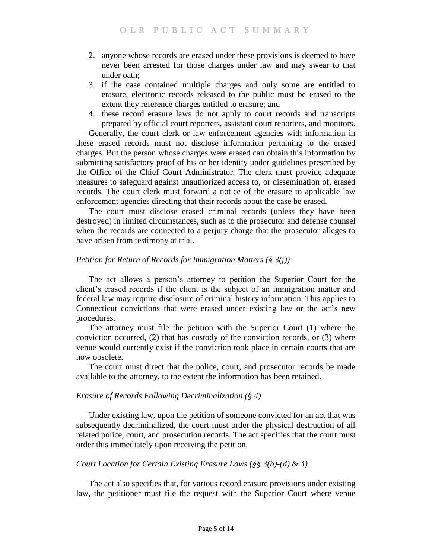- 2. anyone whose records are erased under these provisions is deemed to have never been arrested for those charges under law and may swear to that under oath;
- 3. if the case contained multiple charges and only some are entitled to erasure, electronic records released to the public must be erased to the extent they reference charges entitled to erasure; and
- 4. these record erasure laws do not apply to court records and transcripts prepared by official court reporters, assistant court reporters, and monitors.

Generally, the court clerk or law enforcement agencies with information in these erased records must not disclose information pertaining to the erased charges. But the person whose charges were erased can obtain this information by submitting satisfactory proof of his or her identity under guidelines prescribed by the Office of the Chief Court Administrator. The clerk must provide adequate measures to safeguard against unauthorized access to, or dissemination of, erased records. The court clerk must forward a notice of the erasure to applicable law enforcement agencies directing that their records about the case be erased.

The court must disclose erased criminal records (unless they have been destroyed) in limited circumstances, such as to the prosecutor and defense counsel when the records are connected to a perjury charge that the prosecutor alleges to have arisen from testimony at trial.

# *Petition for Return of Records for Immigration Matters (§ 3(j))*

The act allows a person's attorney to petition the Superior Court for the client's erased records if the client is the subject of an immigration matter and federal law may require disclosure of criminal history information. This applies to Connecticut convictions that were erased under existing law or the act's new procedures.

The attorney must file the petition with the Superior Court (1) where the conviction occurred, (2) that has custody of the conviction records, or (3) where venue would currently exist if the conviction took place in certain courts that are now obsolete.

The court must direct that the police, court, and prosecutor records be made available to the attorney, to the extent the information has been retained.

# *Erasure of Records Following Decriminalization (§ 4)*

Under existing law, upon the petition of someone convicted for an act that was subsequently decriminalized, the court must order the physical destruction of all related police, court, and prosecution records. The act specifies that the court must order this immediately upon receiving the petition.

### *Court Location for Certain Existing Erasure Laws (§§ 3(b)-(d) & 4)*

The act also specifies that, for various record erasure provisions under existing law, the petitioner must file the request with the Superior Court where venue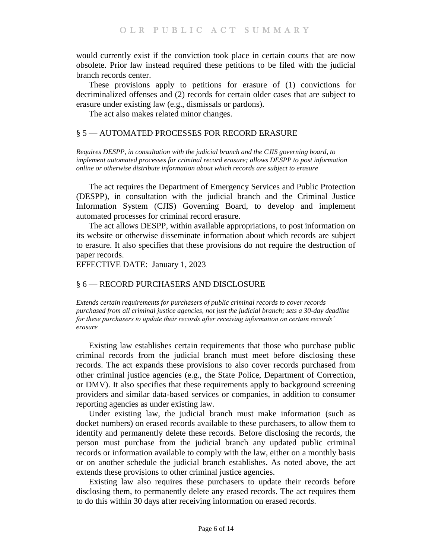would currently exist if the conviction took place in certain courts that are now obsolete. Prior law instead required these petitions to be filed with the judicial branch records center.

These provisions apply to petitions for erasure of (1) convictions for decriminalized offenses and (2) records for certain older cases that are subject to erasure under existing law (e.g., dismissals or pardons).

The act also makes related minor changes.

### <span id="page-5-1"></span><span id="page-5-0"></span>§ 5 — AUTOMATED PROCESSES FOR RECORD ERASURE

*Requires DESPP, in consultation with the judicial branch and the CJIS governing board, to implement automated processes for criminal record erasure; allows DESPP to post information online or otherwise distribute information about which records are subject to erasure*

The act requires the Department of Emergency Services and Public Protection (DESPP), in consultation with the judicial branch and the Criminal Justice Information System (CJIS) Governing Board, to develop and implement automated processes for criminal record erasure.

The act allows DESPP, within available appropriations, to post information on its website or otherwise disseminate information about which records are subject to erasure. It also specifies that these provisions do not require the destruction of paper records.

EFFECTIVE DATE: January 1, 2023

### <span id="page-5-3"></span><span id="page-5-2"></span>§ 6 — RECORD PURCHASERS AND DISCLOSURE

*Extends certain requirements for purchasers of public criminal records to cover records purchased from all criminal justice agencies, not just the judicial branch; sets a 30-day deadline for these purchasers to update their records after receiving information on certain records' erasure* 

Existing law establishes certain requirements that those who purchase public criminal records from the judicial branch must meet before disclosing these records. The act expands these provisions to also cover records purchased from other criminal justice agencies (e.g., the State Police, Department of Correction, or DMV). It also specifies that these requirements apply to background screening providers and similar data-based services or companies, in addition to consumer reporting agencies as under existing law.

Under existing law, the judicial branch must make information (such as docket numbers) on erased records available to these purchasers, to allow them to identify and permanently delete these records. Before disclosing the records, the person must purchase from the judicial branch any updated public criminal records or information available to comply with the law, either on a monthly basis or on another schedule the judicial branch establishes. As noted above, the act extends these provisions to other criminal justice agencies.

Existing law also requires these purchasers to update their records before disclosing them, to permanently delete any erased records. The act requires them to do this within 30 days after receiving information on erased records.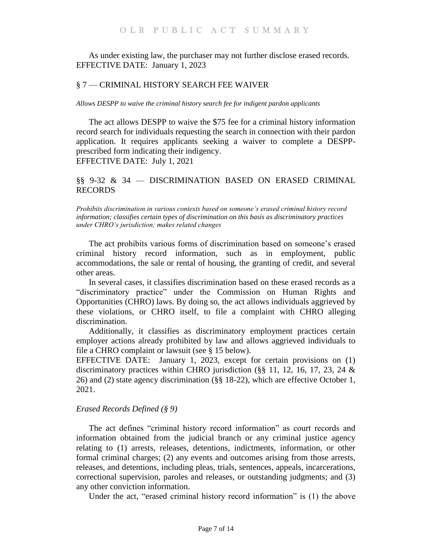As under existing law, the purchaser may not further disclose erased records. EFFECTIVE DATE: January 1, 2023

### <span id="page-6-0"></span>§ 7 — CRIMINAL HISTORY SEARCH FEE WAIVER

<span id="page-6-1"></span>*Allows DESPP to waive the criminal history search fee for indigent pardon applicants* 

The act allows DESPP to waive the \$75 fee for a criminal history information record search for individuals requesting the search in connection with their pardon application. It requires applicants seeking a waiver to complete a DESPPprescribed form indicating their indigency. EFFECTIVE DATE: July 1, 2021

# <span id="page-6-2"></span>§§ 9-32 & 34 — DISCRIMINATION BASED ON ERASED CRIMINAL RECORDS

<span id="page-6-3"></span>*Prohibits discrimination in various contexts based on someone's erased criminal history record information; classifies certain types of discrimination on this basis as discriminatory practices under CHRO's jurisdiction; makes related changes* 

The act prohibits various forms of discrimination based on someone's erased criminal history record information, such as in employment, public accommodations, the sale or rental of housing, the granting of credit, and several other areas.

In several cases, it classifies discrimination based on these erased records as a "discriminatory practice" under the Commission on Human Rights and Opportunities (CHRO) laws. By doing so, the act allows individuals aggrieved by these violations, or CHRO itself, to file a complaint with CHRO alleging discrimination.

Additionally, it classifies as discriminatory employment practices certain employer actions already prohibited by law and allows aggrieved individuals to file a CHRO complaint or lawsuit (see § 15 below).

EFFECTIVE DATE: January 1, 2023, except for certain provisions on (1) discriminatory practices within CHRO jurisdiction (§§ 11, 12, 16, 17, 23, 24 & 26) and (2) state agency discrimination (§§ 18-22), which are effective October 1, 2021.

### *Erased Records Defined (§ 9)*

The act defines "criminal history record information" as court records and information obtained from the judicial branch or any criminal justice agency relating to (1) arrests, releases, detentions, indictments, information, or other formal criminal charges; (2) any events and outcomes arising from those arrests, releases, and detentions, including pleas, trials, sentences, appeals, incarcerations, correctional supervision, paroles and releases, or outstanding judgments; and (3) any other conviction information.

Under the act, "erased criminal history record information" is (1) the above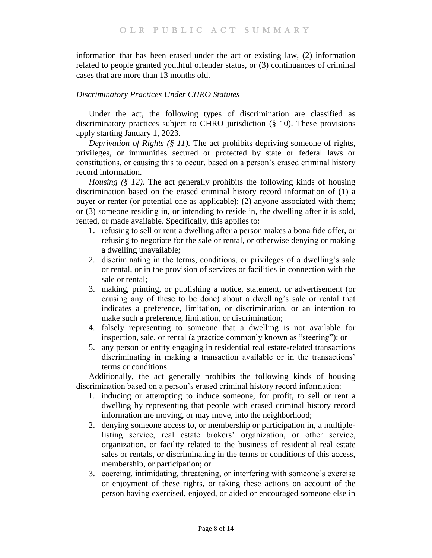information that has been erased under the act or existing law, (2) information related to people granted youthful offender status, or (3) continuances of criminal cases that are more than 13 months old.

# *Discriminatory Practices Under CHRO Statutes*

Under the act, the following types of discrimination are classified as discriminatory practices subject to CHRO jurisdiction (§ 10). These provisions apply starting January 1, 2023.

*Deprivation of Rights (§ 11)*. The act prohibits depriving someone of rights, privileges, or immunities secured or protected by state or federal laws or constitutions, or causing this to occur, based on a person's erased criminal history record information.

*Housing (§ 12).* The act generally prohibits the following kinds of housing discrimination based on the erased criminal history record information of (1) a buyer or renter (or potential one as applicable); (2) anyone associated with them; or (3) someone residing in, or intending to reside in, the dwelling after it is sold, rented, or made available. Specifically, this applies to:

- 1. refusing to sell or rent a dwelling after a person makes a bona fide offer, or refusing to negotiate for the sale or rental, or otherwise denying or making a dwelling unavailable;
- 2. discriminating in the terms, conditions, or privileges of a dwelling's sale or rental, or in the provision of services or facilities in connection with the sale or rental;
- 3. making, printing, or publishing a notice, statement, or advertisement (or causing any of these to be done) about a dwelling's sale or rental that indicates a preference, limitation, or discrimination, or an intention to make such a preference, limitation, or discrimination;
- 4. falsely representing to someone that a dwelling is not available for inspection, sale, or rental (a practice commonly known as "steering"); or
- 5. any person or entity engaging in residential real estate-related transactions discriminating in making a transaction available or in the transactions' terms or conditions.

Additionally, the act generally prohibits the following kinds of housing discrimination based on a person's erased criminal history record information:

- 1. inducing or attempting to induce someone, for profit, to sell or rent a dwelling by representing that people with erased criminal history record information are moving, or may move, into the neighborhood;
- 2. denying someone access to, or membership or participation in, a multiplelisting service, real estate brokers' organization, or other service, organization, or facility related to the business of residential real estate sales or rentals, or discriminating in the terms or conditions of this access, membership, or participation; or
- 3. coercing, intimidating, threatening, or interfering with someone's exercise or enjoyment of these rights, or taking these actions on account of the person having exercised, enjoyed, or aided or encouraged someone else in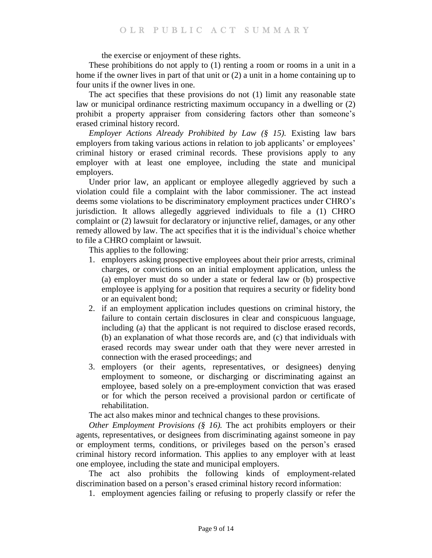the exercise or enjoyment of these rights.

These prohibitions do not apply to (1) renting a room or rooms in a unit in a home if the owner lives in part of that unit or (2) a unit in a home containing up to four units if the owner lives in one.

The act specifies that these provisions do not (1) limit any reasonable state law or municipal ordinance restricting maximum occupancy in a dwelling or (2) prohibit a property appraiser from considering factors other than someone's erased criminal history record.

*Employer Actions Already Prohibited by Law (§ 15).* Existing law bars employers from taking various actions in relation to job applicants' or employees' criminal history or erased criminal records. These provisions apply to any employer with at least one employee, including the state and municipal employers.

Under prior law, an applicant or employee allegedly aggrieved by such a violation could file a complaint with the labor commissioner. The act instead deems some violations to be discriminatory employment practices under CHRO's jurisdiction. It allows allegedly aggrieved individuals to file a (1) CHRO complaint or (2) lawsuit for declaratory or injunctive relief, damages, or any other remedy allowed by law. The act specifies that it is the individual's choice whether to file a CHRO complaint or lawsuit.

This applies to the following:

- 1. employers asking prospective employees about their prior arrests, criminal charges, or convictions on an initial employment application, unless the (a) employer must do so under a state or federal law or (b) prospective employee is applying for a position that requires a security or fidelity bond or an equivalent bond;
- 2. if an employment application includes questions on criminal history, the failure to contain certain disclosures in clear and conspicuous language, including (a) that the applicant is not required to disclose erased records, (b) an explanation of what those records are, and (c) that individuals with erased records may swear under oath that they were never arrested in connection with the erased proceedings; and
- 3. employers (or their agents, representatives, or designees) denying employment to someone, or discharging or discriminating against an employee, based solely on a pre-employment conviction that was erased or for which the person received a provisional pardon or certificate of rehabilitation.

The act also makes minor and technical changes to these provisions.

*Other Employment Provisions (§ 16).* The act prohibits employers or their agents, representatives, or designees from discriminating against someone in pay or employment terms, conditions, or privileges based on the person's erased criminal history record information. This applies to any employer with at least one employee, including the state and municipal employers.

The act also prohibits the following kinds of employment-related discrimination based on a person's erased criminal history record information:

1. employment agencies failing or refusing to properly classify or refer the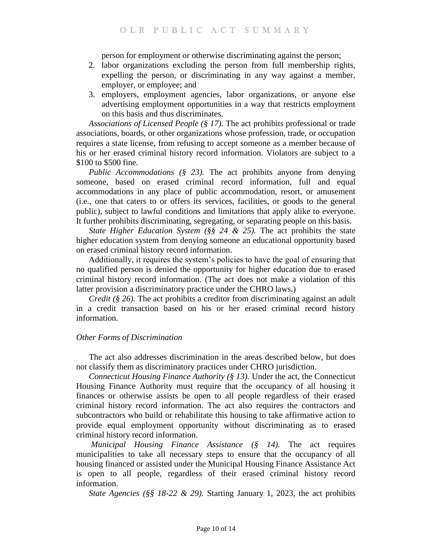person for employment or otherwise discriminating against the person;

- 2. labor organizations excluding the person from full membership rights, expelling the person, or discriminating in any way against a member, employer, or employee; and
- 3. employers, employment agencies, labor organizations, or anyone else advertising employment opportunities in a way that restricts employment on this basis and thus discriminates.

*Associations of Licensed People (§ 17).* The act prohibits professional or trade associations, boards, or other organizations whose profession, trade, or occupation requires a state license, from refusing to accept someone as a member because of his or her erased criminal history record information. Violators are subject to a \$100 to \$500 fine.

*Public Accommodations (§ 23).* The act prohibits anyone from denying someone, based on erased criminal record information, full and equal accommodations in any place of public accommodation, resort, or amusement (i.e., one that caters to or offers its services, facilities, or goods to the general public), subject to lawful conditions and limitations that apply alike to everyone. It further prohibits discriminating, segregating, or separating people on this basis.

*State Higher Education System (§§ 24 & 25).* The act prohibits the state higher education system from denying someone an educational opportunity based on erased criminal history record information.

Additionally, it requires the system's policies to have the goal of ensuring that no qualified person is denied the opportunity for higher education due to erased criminal history record information. (The act does not make a violation of this latter provision a discriminatory practice under the CHRO laws.)

*Credit (§ 26).* The act prohibits a creditor from discriminating against an adult in a credit transaction based on his or her erased criminal record history information.

# *Other Forms of Discrimination*

The act also addresses discrimination in the areas described below, but does not classify them as discriminatory practices under CHRO jurisdiction.

*Connecticut Housing Finance Authority (§ 13).* Under the act, the Connecticut Housing Finance Authority must require that the occupancy of all housing it finances or otherwise assists be open to all people regardless of their erased criminal history record information. The act also requires the contractors and subcontractors who build or rehabilitate this housing to take affirmative action to provide equal employment opportunity without discriminating as to erased criminal history record information.

*Municipal Housing Finance Assistance (§ 14).* The act requires municipalities to take all necessary steps to ensure that the occupancy of all housing financed or assisted under the Municipal Housing Finance Assistance Act is open to all people, regardless of their erased criminal history record information.

*State Agencies (§§ 18-22 & 29).* Starting January 1, 2023, the act prohibits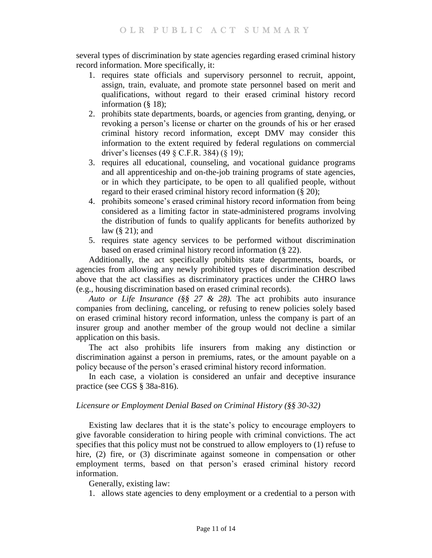several types of discrimination by state agencies regarding erased criminal history record information. More specifically, it:

- 1. requires state officials and supervisory personnel to recruit, appoint, assign, train, evaluate, and promote state personnel based on merit and qualifications, without regard to their erased criminal history record information (§ 18);
- 2. prohibits state departments, boards, or agencies from granting, denying, or revoking a person's license or charter on the grounds of his or her erased criminal history record information, except DMV may consider this information to the extent required by federal regulations on commercial driver's licenses (49 § C.F.R. 384) (§ 19);
- 3. requires all educational, counseling, and vocational guidance programs and all apprenticeship and on-the-job training programs of state agencies, or in which they participate, to be open to all qualified people, without regard to their erased criminal history record information (§ 20);
- 4. prohibits someone's erased criminal history record information from being considered as a limiting factor in state-administered programs involving the distribution of funds to qualify applicants for benefits authorized by law (§ 21); and
- 5. requires state agency services to be performed without discrimination based on erased criminal history record information (§ 22).

Additionally, the act specifically prohibits state departments, boards, or agencies from allowing any newly prohibited types of discrimination described above that the act classifies as discriminatory practices under the CHRO laws (e.g., housing discrimination based on erased criminal records).

*Auto or Life Insurance (§§ 27 & 28).* The act prohibits auto insurance companies from declining, canceling, or refusing to renew policies solely based on erased criminal history record information, unless the company is part of an insurer group and another member of the group would not decline a similar application on this basis.

The act also prohibits life insurers from making any distinction or discrimination against a person in premiums, rates, or the amount payable on a policy because of the person's erased criminal history record information.

In each case, a violation is considered an unfair and deceptive insurance practice (see CGS § 38a-816).

# *Licensure or Employment Denial Based on Criminal History (§§ 30-32)*

Existing law declares that it is the state's policy to encourage employers to give favorable consideration to hiring people with criminal convictions. The act specifies that this policy must not be construed to allow employers to (1) refuse to hire, (2) fire, or (3) discriminate against someone in compensation or other employment terms, based on that person's erased criminal history record information.

Generally, existing law:

1. allows state agencies to deny employment or a credential to a person with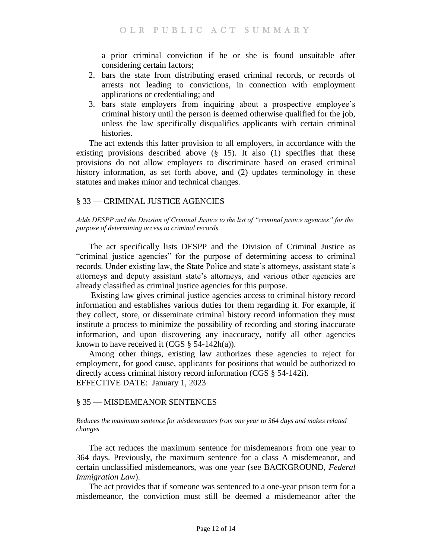a prior criminal conviction if he or she is found unsuitable after considering certain factors;

- 2. bars the state from distributing erased criminal records, or records of arrests not leading to convictions, in connection with employment applications or credentialing; and
- 3. bars state employers from inquiring about a prospective employee's criminal history until the person is deemed otherwise qualified for the job, unless the law specifically disqualifies applicants with certain criminal histories.

The act extends this latter provision to all employers, in accordance with the existing provisions described above  $(\S$  15). It also (1) specifies that these provisions do not allow employers to discriminate based on erased criminal history information, as set forth above, and (2) updates terminology in these statutes and makes minor and technical changes.

# <span id="page-11-1"></span><span id="page-11-0"></span>§ 33 — CRIMINAL JUSTICE AGENCIES

*Adds DESPP and the Division of Criminal Justice to the list of "criminal justice agencies" for the purpose of determining access to criminal records*

The act specifically lists DESPP and the Division of Criminal Justice as "criminal justice agencies" for the purpose of determining access to criminal records. Under existing law, the State Police and state's attorneys, assistant state's attorneys and deputy assistant state's attorneys, and various other agencies are already classified as criminal justice agencies for this purpose.

Existing law gives criminal justice agencies access to criminal history record information and establishes various duties for them regarding it. For example, if they collect, store, or disseminate criminal history record information they must institute a process to minimize the possibility of recording and storing inaccurate information, and upon discovering any inaccuracy, notify all other agencies known to have received it  $(CGS \S 54-142h(a))$ .

Among other things, existing law authorizes these agencies to reject for employment, for good cause, applicants for positions that would be authorized to directly access criminal history record information (CGS § 54-142i). EFFECTIVE DATE: January 1, 2023

# <span id="page-11-3"></span><span id="page-11-2"></span>§ 35 — MISDEMEANOR SENTENCES

*Reduces the maximum sentence for misdemeanors from one year to 364 days and makes related changes*

The act reduces the maximum sentence for misdemeanors from one year to 364 days. Previously, the maximum sentence for a class A misdemeanor, and certain unclassified misdemeanors, was one year (see BACKGROUND, *Federal Immigration Law*).

The act provides that if someone was sentenced to a one-year prison term for a misdemeanor, the conviction must still be deemed a misdemeanor after the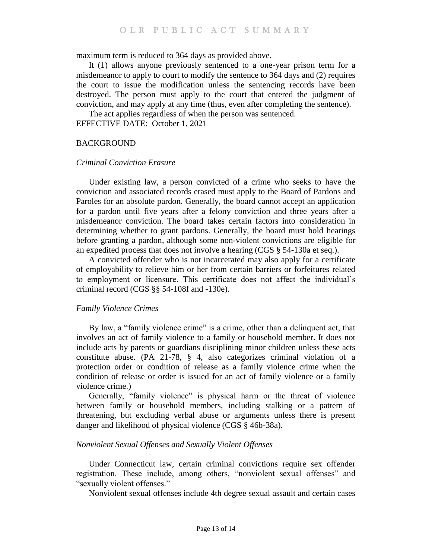maximum term is reduced to 364 days as provided above.

It (1) allows anyone previously sentenced to a one-year prison term for a misdemeanor to apply to court to modify the sentence to 364 days and (2) requires the court to issue the modification unless the sentencing records have been destroyed. The person must apply to the court that entered the judgment of conviction, and may apply at any time (thus, even after completing the sentence).

The act applies regardless of when the person was sentenced.

EFFECTIVE DATE: October 1, 2021

#### <span id="page-12-0"></span>BACKGROUND

#### *Criminal Conviction Erasure*

Under existing law, a person convicted of a crime who seeks to have the conviction and associated records erased must apply to the Board of Pardons and Paroles for an absolute pardon. Generally, the board cannot accept an application for a pardon until five years after a felony conviction and three years after a misdemeanor conviction. The board takes certain factors into consideration in determining whether to grant pardons. Generally, the board must hold hearings before granting a pardon, although some non-violent convictions are eligible for an expedited process that does not involve a hearing (CGS § 54-130a et seq.).

A convicted offender who is not incarcerated may also apply for a certificate of employability to relieve him or her from certain barriers or forfeitures related to employment or licensure. This certificate does not affect the individual's criminal record (CGS §§ 54-108f and -130e).

#### *Family Violence Crimes*

By law, a "family violence crime" is a crime, other than a delinquent act, that involves an act of family violence to a family or household member. It does not include acts by parents or guardians disciplining minor children unless these acts constitute abuse. (PA 21-78, § 4, also categorizes criminal violation of a protection order or condition of release as a family violence crime when the condition of release or order is issued for an act of family violence or a family violence crime.)

Generally, "family violence" is physical harm or the threat of violence between family or household members, including stalking or a pattern of threatening, but excluding verbal abuse or arguments unless there is present danger and likelihood of physical violence (CGS § 46b-38a).

#### *Nonviolent Sexual Offenses and Sexually Violent Offenses*

Under Connecticut law, certain criminal convictions require sex offender registration. These include, among others, "nonviolent sexual offenses" and "sexually violent offenses."

Nonviolent sexual offenses include 4th degree sexual assault and certain cases